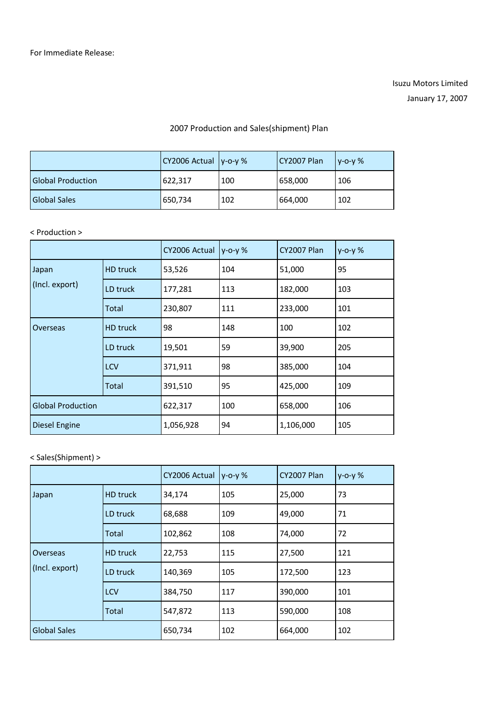## Isuzu Motors Limited January 17, 2007

## 2007 Production and Sales(shipment) Plan

|                          | $ CY2006$ Actual $ y$ -o-y % |     | CY2007 Plan | $V - O - V$ % |
|--------------------------|------------------------------|-----|-------------|---------------|
| <b>Global Production</b> | 622,317                      | 100 | 658,000     | 106           |
| <b>Global Sales</b>      | 650,734                      | 102 | 664,000     | 102           |

## < Production >

|                          |                 | CY2006 Actual | $y - 0 - y$ % | <b>CY2007 Plan</b> | $y - 0 - y$ % |
|--------------------------|-----------------|---------------|---------------|--------------------|---------------|
| Japan                    | <b>HD</b> truck | 53,526        | 104           | 51,000             | 95            |
| (Incl. export)           | LD truck        | 177,281       | 113           | 182,000            | 103           |
|                          | Total           | 230,807       | 111           | 233,000            | 101           |
| Overseas                 | <b>HD</b> truck | 98            | 148           | 100                | 102           |
|                          | LD truck        | 19,501        | 59            | 39,900             | 205           |
|                          | <b>LCV</b>      | 371,911       | 98            | 385,000            | 104           |
|                          | Total           | 391,510       | 95            | 425,000            | 109           |
| <b>Global Production</b> |                 | 622,317       | 100           | 658,000            | 106           |
| <b>Diesel Engine</b>     |                 | 1,056,928     | 94            | 1,106,000          | 105           |

## < Sales(Shipment) >

|                            |                 | CY2006 Actual | $y - 0 - y$ % | <b>CY2007 Plan</b> | $y - 0 - y$ % |
|----------------------------|-----------------|---------------|---------------|--------------------|---------------|
| Japan                      | <b>HD</b> truck | 34,174        | 105           | 25,000             | 73            |
|                            | LD truck        | 68,688        | 109           | 49,000             | 71            |
|                            | Total           | 102,862       | 108           | 74,000             | 72            |
| Overseas<br>(Incl. export) | <b>HD</b> truck | 22,753        | 115           | 27,500             | 121           |
|                            | LD truck        | 140,369       | 105           | 172,500            | 123           |
|                            | <b>LCV</b>      | 384,750       | 117           | 390,000            | 101           |
|                            | Total           | 547,872       | 113           | 590,000            | 108           |
| <b>Global Sales</b>        |                 | 650,734       | 102           | 664,000            | 102           |